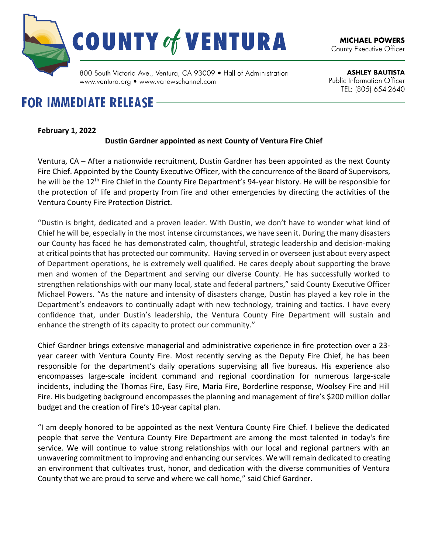

**ASHLEY BAUTISTA** Public Information Officer TEL: (805) 654-2640

## www.ventura.org • www.vcnewschannel.com **FOR IMMEDIATE RELEASE -**

## **February 1, 2022**

## **Dustin Gardner appointed as next County of Ventura Fire Chief**

Ventura, CA – After a nationwide recruitment, Dustin Gardner has been appointed as the next County Fire Chief. Appointed by the County Executive Officer, with the concurrence of the Board of Supervisors, he will be the 12th Fire Chief in the County Fire Department's 94-year history. He will be responsible for the protection of life and property from fire and other emergencies by directing the activities of the Ventura County Fire Protection District.

"Dustin is bright, dedicated and a proven leader. With Dustin, we don't have to wonder what kind of Chief he will be, especially in the most intense circumstances, we have seen it. During the many disasters our County has faced he has demonstrated calm, thoughtful, strategic leadership and decision-making at critical points that has protected our community. Having served in or overseen just about every aspect of Department operations, he is extremely well qualified. He cares deeply about supporting the brave men and women of the Department and serving our diverse County. He has successfully worked to strengthen relationships with our many local, state and federal partners," said County Executive Officer Michael Powers. "As the nature and intensity of disasters change, Dustin has played a key role in the Department's endeavors to continually adapt with new technology, training and tactics. I have every confidence that, under Dustin's leadership, the Ventura County Fire Department will sustain and enhance the strength of its capacity to protect our community."

Chief Gardner brings extensive managerial and administrative experience in fire protection over a 23 year career with Ventura County Fire. Most recently serving as the Deputy Fire Chief, he has been responsible for the department's daily operations supervising all five bureaus. His experience also encompasses large-scale incident command and regional coordination for numerous large-scale incidents, including the Thomas Fire, Easy Fire, Maria Fire, Borderline response, Woolsey Fire and Hill Fire. His budgeting background encompasses the planning and management of fire's \$200 million dollar budget and the creation of Fire's 10-year capital plan.

"I am deeply honored to be appointed as the next Ventura County Fire Chief. I believe the dedicated people that serve the Ventura County Fire Department are among the most talented in today's fire service. We will continue to value strong relationships with our local and regional partners with an unwavering commitment to improving and enhancing ourservices. We will remain dedicated to creating an environment that cultivates trust, honor, and dedication with the diverse communities of Ventura County that we are proud to serve and where we call home," said Chief Gardner.